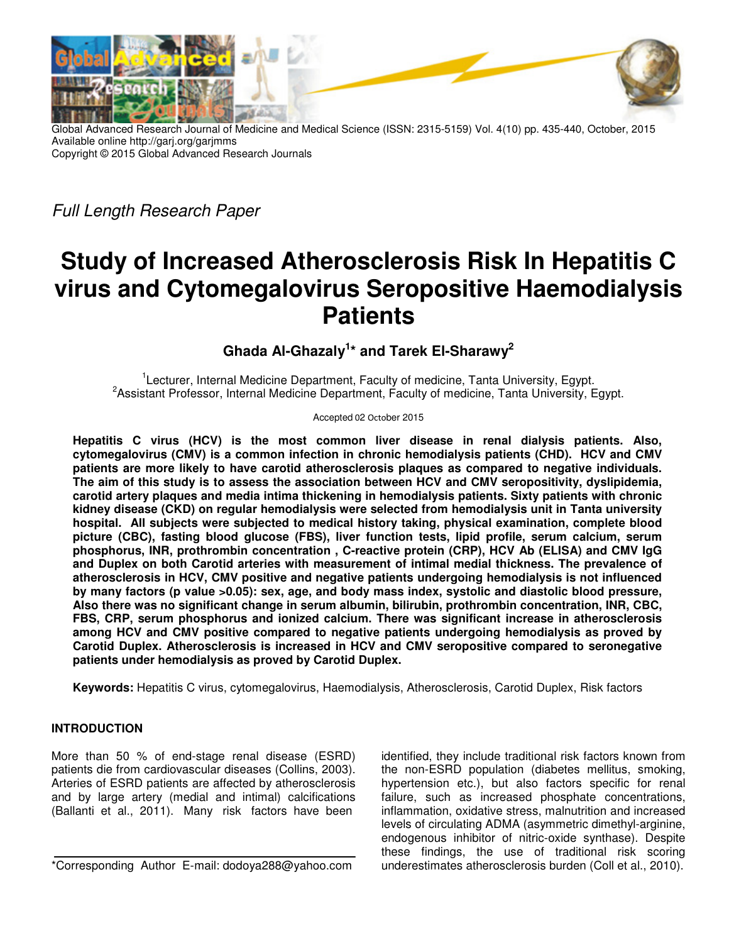

Global Advanced Research Journal of Medicine and Medical Science (ISSN: 2315-5159) Vol. 4(10) pp. 435-440, October, 2015 Available online http://garj.org/garjmms Copyright © 2015 Global Advanced Research Journals

*Full Length Research Paper*

# **Study of Increased Atherosclerosis Risk In Hepatitis C virus and Cytomegalovirus Seropositive Haemodialysis Patients**

# **Ghada Al-Ghazaly<sup>1</sup> \* and Tarek El-Sharawy<sup>2</sup>**

<sup>1</sup>Lecturer, Internal Medicine Department, Faculty of medicine, Tanta University, Egypt. <sup>2</sup> Assistant Professor, Internal Medicine Department, Faculty of medicine, Tanta University, Egypt.

Accepted 02 October 2015

**Hepatitis C virus (HCV) is the most common liver disease in renal dialysis patients. Also, cytomegalovirus (CMV) is a common infection in chronic hemodialysis patients (CHD). HCV and CMV patients are more likely to have carotid atherosclerosis plaques as compared to negative individuals. The aim of this study is to assess the association between HCV and CMV seropositivity, dyslipidemia, carotid artery plaques and media intima thickening in hemodialysis patients. Sixty patients with chronic kidney disease (CKD) on regular hemodialysis were selected from hemodialysis unit in Tanta university hospital. All subjects were subjected to medical history taking, physical examination, complete blood picture (CBC), fasting blood glucose (FBS), liver function tests, lipid profile, serum calcium, serum phosphorus, INR, prothrombin concentration , C-reactive protein (CRP), HCV Ab (ELISA) and CMV IgG and Duplex on both Carotid arteries with measurement of intimal medial thickness. The prevalence of atherosclerosis in HCV, CMV positive and negative patients undergoing hemodialysis is not influenced by many factors (p value >0.05): sex, age, and body mass index, systolic and diastolic blood pressure, Also there was no significant change in serum albumin, bilirubin, prothrombin concentration, INR, CBC, FBS, CRP, serum phosphorus and ionized calcium. There was significant increase in atherosclerosis among HCV and CMV positive compared to negative patients undergoing hemodialysis as proved by Carotid Duplex. Atherosclerosis is increased in HCV and CMV seropositive compared to seronegative patients under hemodialysis as proved by Carotid Duplex.** 

**Keywords:** Hepatitis C virus, cytomegalovirus, Haemodialysis, Atherosclerosis, Carotid Duplex, Risk factors

# **INTRODUCTION**

More than 50 % of end-stage renal disease (ESRD) patients die from cardiovascular diseases (Collins, 2003). Arteries of ESRD patients are affected by atherosclerosis and by large artery (medial and intimal) calcifications (Ballanti et al., 2011). Many risk factors have been

\*Corresponding Author E-mail: dodoya288@yahoo.com

identified, they include traditional risk factors known from the non-ESRD population (diabetes mellitus, smoking, hypertension etc.), but also factors specific for renal failure, such as increased phosphate concentrations, inflammation, oxidative stress, malnutrition and increased levels of circulating ADMA (asymmetric dimethyl-arginine, endogenous inhibitor of nitric-oxide synthase). Despite these findings, the use of traditional risk scoring underestimates atherosclerosis burden (Coll et al., 2010).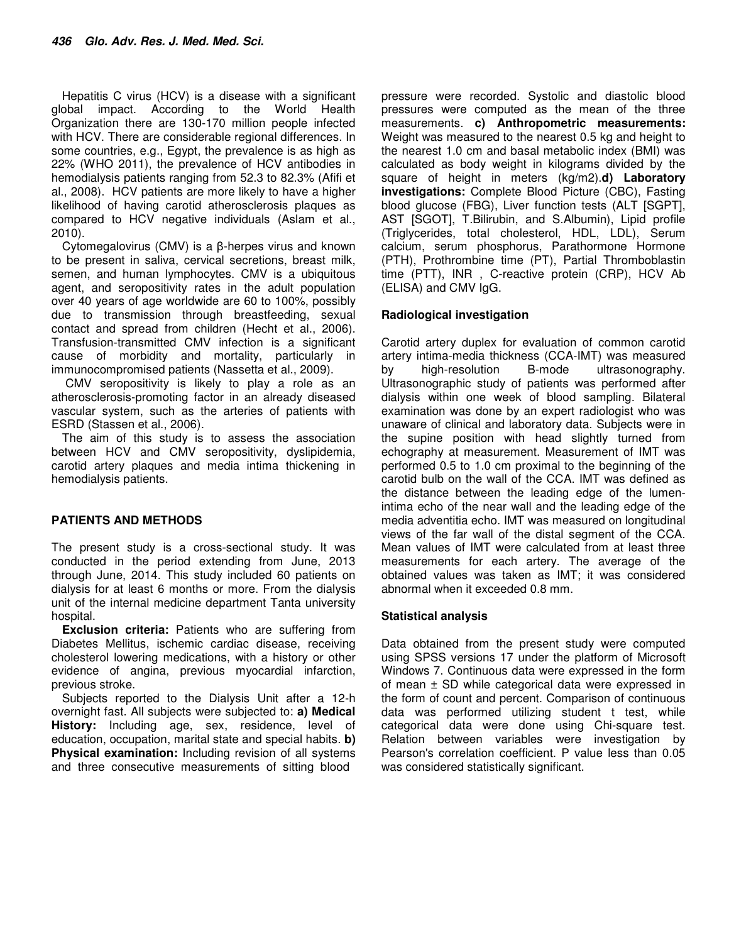Hepatitis C virus (HCV) is a disease with a significant global impact. According to the World Health Organization there are 130-170 million people infected with HCV. There are considerable regional differences. In some countries, e.g., Egypt, the prevalence is as high as 22% (WHO 2011), the prevalence of HCV antibodies in hemodialysis patients ranging from 52.3 to 82.3% (Afifi et al., 2008). HCV patients are more likely to have a higher likelihood of having carotid atherosclerosis plaques as compared to HCV negative individuals (Aslam et al., 2010).

Cytomegalovirus (CMV) is a β-herpes virus and known to be present in saliva, cervical secretions, breast milk, semen, and human lymphocytes. CMV is a ubiquitous agent, and seropositivity rates in the adult population over 40 years of age worldwide are 60 to 100%, possibly due to transmission through breastfeeding, sexual contact and spread from children (Hecht et al., 2006). Transfusion-transmitted CMV infection is a significant cause of morbidity and mortality, particularly in immunocompromised patients (Nassetta et al., 2009).

 CMV seropositivity is likely to play a role as an atherosclerosis-promoting factor in an already diseased vascular system, such as the arteries of patients with ESRD (Stassen et al., 2006).

The aim of this study is to assess the association between HCV and CMV seropositivity, dyslipidemia, carotid artery plaques and media intima thickening in hemodialysis patients.

# **PATIENTS AND METHODS**

The present study is a cross-sectional study. It was conducted in the period extending from June, 2013 through June, 2014. This study included 60 patients on dialysis for at least 6 months or more. From the dialysis unit of the internal medicine department Tanta university hospital.

**Exclusion criteria:** Patients who are suffering from Diabetes Mellitus, ischemic cardiac disease, receiving cholesterol lowering medications, with a history or other evidence of angina, previous myocardial infarction, previous stroke.

Subjects reported to the Dialysis Unit after a 12-h overnight fast. All subjects were subjected to: **a) Medical History:** Including age, sex, residence, level of education, occupation, marital state and special habits. **b) Physical examination:** Including revision of all systems and three consecutive measurements of sitting blood

pressure were recorded. Systolic and diastolic blood pressures were computed as the mean of the three measurements. **c) Anthropometric measurements:** Weight was measured to the nearest 0.5 kg and height to the nearest 1.0 cm and basal metabolic index (BMI) was calculated as body weight in kilograms divided by the square of height in meters (kg/m2).**d) Laboratory investigations:** Complete Blood Picture (CBC), Fasting blood glucose (FBG), Liver function tests (ALT [SGPT], AST [SGOT], T.Bilirubin, and S.Albumin), Lipid profile (Triglycerides, total cholesterol, HDL, LDL), Serum calcium, serum phosphorus, Parathormone Hormone (PTH), Prothrombine time (PT), Partial Thromboblastin time (PTT), INR , C-reactive protein (CRP), HCV Ab (ELISA) and CMV IgG.

# **Radiological investigation**

Carotid artery duplex for evaluation of common carotid artery intima-media thickness (CCA-IMT) was measured by high-resolution B-mode ultrasonography. Ultrasonographic study of patients was performed after dialysis within one week of blood sampling. Bilateral examination was done by an expert radiologist who was unaware of clinical and laboratory data. Subjects were in the supine position with head slightly turned from echography at measurement. Measurement of IMT was performed 0.5 to 1.0 cm proximal to the beginning of the carotid bulb on the wall of the CCA. IMT was defined as the distance between the leading edge of the lumenintima echo of the near wall and the leading edge of the media adventitia echo. IMT was measured on longitudinal views of the far wall of the distal segment of the CCA. Mean values of IMT were calculated from at least three measurements for each artery. The average of the obtained values was taken as IMT; it was considered abnormal when it exceeded 0.8 mm.

#### **Statistical analysis**

Data obtained from the present study were computed using SPSS versions 17 under the platform of Microsoft Windows 7. Continuous data were expressed in the form of mean ± SD while categorical data were expressed in the form of count and percent. Comparison of continuous data was performed utilizing student t test, while categorical data were done using Chi-square test. Relation between variables were investigation by Pearson's correlation coefficient. P value less than 0.05 was considered statistically significant.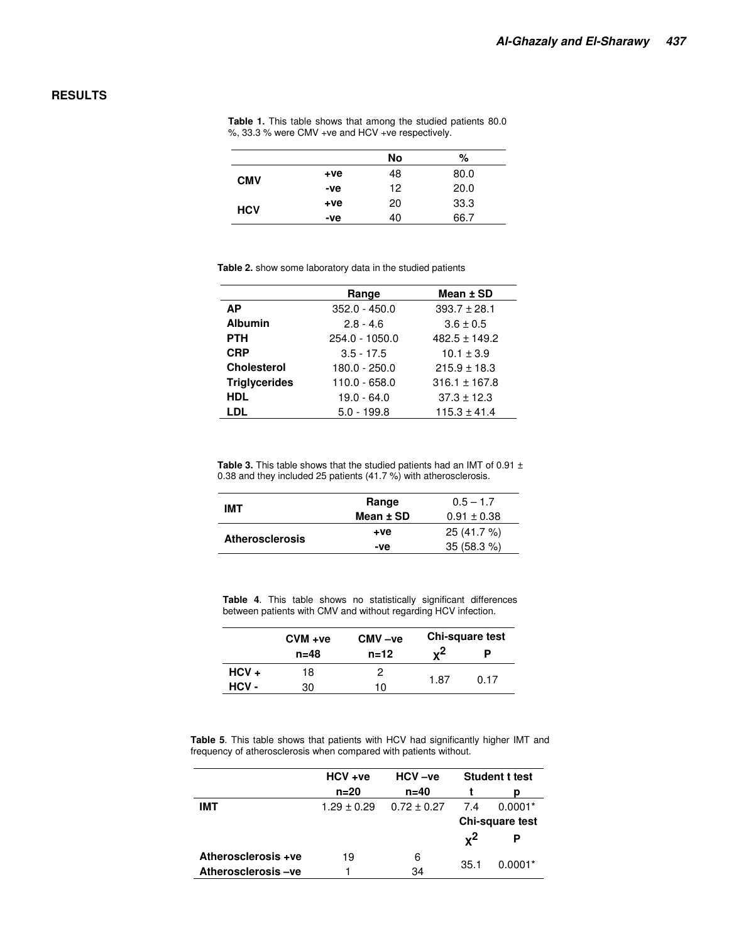### **RESULTS**

|            |       | No | %    |
|------------|-------|----|------|
| <b>CMV</b> | $+ve$ | 48 | 80.0 |
|            | -ve   | 12 | 20.0 |
|            | $+ve$ | 20 | 33.3 |
| <b>HCV</b> | -ve   | 40 | 66.7 |

**Table 1.** This table shows that among the studied patients 80.0 %, 33.3 % were CMV +ve and HCV +ve respectively.

| Table 2. show some laboratory data in the studied patients |  |
|------------------------------------------------------------|--|
|------------------------------------------------------------|--|

|                      | Range           | Mean ± SD         |
|----------------------|-----------------|-------------------|
| <b>AP</b>            | $352.0 - 450.0$ | $393.7 \pm 28.1$  |
| <b>Albumin</b>       | $2.8 - 4.6$     | $3.6 \pm 0.5$     |
| <b>PTH</b>           | 254.0 - 1050.0  | $482.5 \pm 149.2$ |
| <b>CRP</b>           | $3.5 - 17.5$    | $10.1 \pm 3.9$    |
| <b>Cholesterol</b>   | 180.0 - 250.0   | $215.9 \pm 18.3$  |
| <b>Triglycerides</b> | $110.0 - 658.0$ | $316.1 \pm 167.8$ |
| <b>HDL</b>           | $19.0 - 64.0$   | $37.3 \pm 12.3$   |
| LDL                  | $5.0 - 199.8$   | $115.3 \pm 41.4$  |
|                      |                 |                   |

Table 3. This table shows that the studied patients had an IMT of 0.91 ± 0.38 and they included 25 patients (41.7 %) with atherosclerosis.

| IMT                    | Range     | $0.5 - 1.7$     |  |
|------------------------|-----------|-----------------|--|
|                        | Mean ± SD | $0.91 \pm 0.38$ |  |
|                        | $+ve$     | 25 (41.7 %)     |  |
| <b>Atherosclerosis</b> | -ve       | 35(58.3%)       |  |
|                        |           |                 |  |

**Table 4**. This table shows no statistically significant differences between patients with CMV and without regarding HCV infection.

|         | $CVM + ve$ | $CMV -ve$ | <b>Chi-square test</b> |      |  |
|---------|------------|-----------|------------------------|------|--|
|         | $n = 48$   | $n = 12$  | <sub>v</sub> 2         |      |  |
| $HCV +$ | 18         |           |                        | 0.17 |  |
| HCV-    | 30         | 10        | 1.87                   |      |  |

**Table 5**. This table shows that patients with HCV had significantly higher IMT and frequency of atherosclerosis when compared with patients without.

|                     | $HCV + ve$      | $HCV -ve$       | <b>Student t test</b> |           |
|---------------------|-----------------|-----------------|-----------------------|-----------|
|                     | $n = 20$        | $n=40$          |                       | D         |
| IMT                 | $1.29 \pm 0.29$ | $0.72 \pm 0.27$ | 7.4                   | $0.0001*$ |
|                     |                 |                 | Chi-square test       |           |
|                     |                 |                 | $\mathbf{x}^2$        |           |
| Atherosclerosis +ve | 19              | 6               |                       |           |
| Atherosclerosis-ve  |                 | 34              | 35.1                  | $0.0001*$ |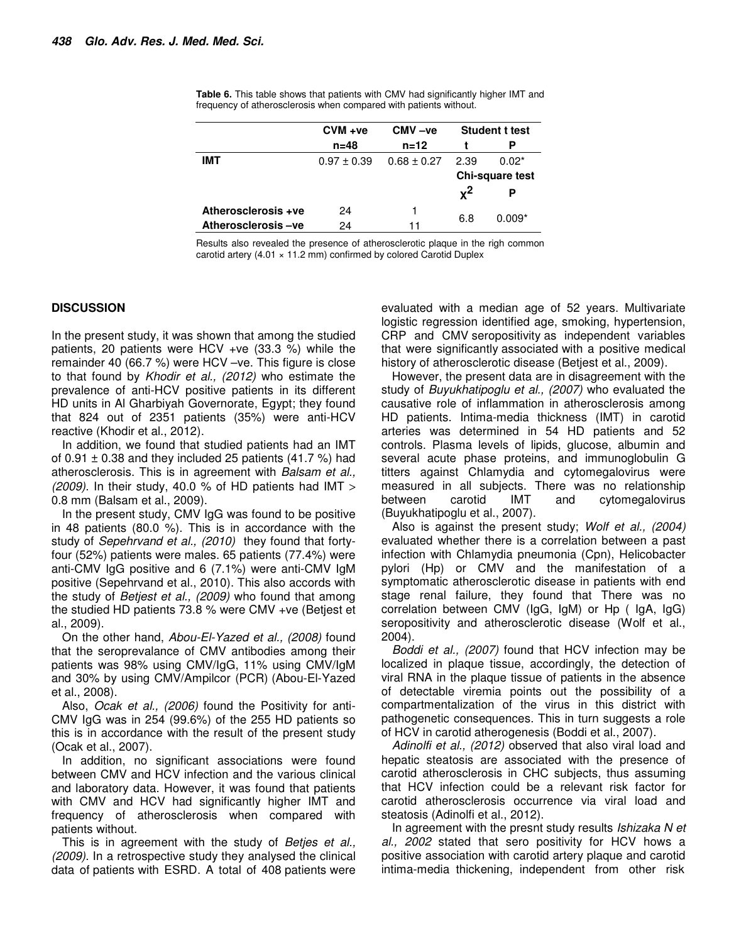|                     | $CVM + ve$      | $CMV -ve$       | <b>Student t test</b> |          |
|---------------------|-----------------|-----------------|-----------------------|----------|
|                     | $n = 48$        | $n = 12$        |                       |          |
| <b>IMT</b>          | $0.97 \pm 0.39$ | $0.68 \pm 0.27$ | 2.39                  | $0.02*$  |
|                     |                 |                 | Chi-square test       |          |
|                     |                 |                 | $\mathbf{v}^2$        |          |
| Atherosclerosis +ve | 24              |                 |                       |          |
| Atherosclerosis-ve  | 24              | 11              | 6.8                   | $0.009*$ |

**Table 6.** This table shows that patients with CMV had significantly higher IMT and frequency of atherosclerosis when compared with patients without.

Results also revealed the presence of atherosclerotic plaque in the righ common carotid artery  $(4.01 \times 11.2 \text{ mm})$  confirmed by colored Carotid Duplex

#### **DISCUSSION**

In the present study, it was shown that among the studied patients, 20 patients were HCV +ve (33.3 %) while the remainder 40 (66.7 %) were HCV –ve. This figure is close to that found by *Khodir et al., (2012)* who estimate the prevalence of anti-HCV positive patients in its different HD units in Al Gharbiyah Governorate, Egypt; they found that 824 out of 2351 patients (35%) were anti-HCV reactive (Khodir et al., 2012).

In addition, we found that studied patients had an IMT of  $0.91 \pm 0.38$  and they included 25 patients (41.7 %) had atherosclerosis. This is in agreement with *Balsam et al., (2009)*. In their study, 40.0 % of HD patients had IMT > 0.8 mm (Balsam et al., 2009).

In the present study, CMV IgG was found to be positive in 48 patients (80.0 %). This is in accordance with the study of *Sepehrvand et al., (2010)* they found that fortyfour (52%) patients were males. 65 patients (77.4%) were anti-CMV IgG positive and 6 (7.1%) were anti-CMV IgM positive (Sepehrvand et al., 2010). This also accords with the study of *Betjest et al., (2009)* who found that among the studied HD patients 73.8 % were CMV +ve (Betjest et al., 2009).

On the other hand, *Abou-El-Yazed et al., (2008)* found that the seroprevalance of CMV antibodies among their patients was 98% using CMV/IgG, 11% using CMV/IgM and 30% by using CMV/Ampilcor (PCR) (Abou-El-Yazed et al., 2008).

Also, *Ocak et al., (2006)* found the Positivity for anti-CMV IgG was in 254 (99.6%) of the 255 HD patients so this is in accordance with the result of the present study (Ocak et al., 2007).

In addition, no significant associations were found between CMV and HCV infection and the various clinical and laboratory data. However, it was found that patients with CMV and HCV had significantly higher IMT and frequency of atherosclerosis when compared with patients without.

This is in agreement with the study of *Betjes et al., (2009)*. In a retrospective study they analysed the clinical data of patients with ESRD. A total of 408 patients were evaluated with a median age of 52 years. Multivariate logistic regression identified age, smoking, hypertension, CRP and CMV seropositivity as independent variables that were significantly associated with a positive medical history of atherosclerotic disease (Betjest et al., 2009).

However, the present data are in disagreement with the study of *Buyukhatipoglu et al., (2007)* who evaluated the causative role of inflammation in atherosclerosis among HD patients. Intima-media thickness (IMT) in carotid arteries was determined in 54 HD patients and 52 controls. Plasma levels of lipids, glucose, albumin and several acute phase proteins, and immunoglobulin G titters against Chlamydia and cytomegalovirus were measured in all subjects. There was no relationship between carotid IMT and cytomegalovirus (Buyukhatipoglu et al., 2007).

Also is against the present study; *Wolf et al., (2004)* evaluated whether there is a correlation between a past infection with Chlamydia pneumonia (Cpn), Helicobacter pylori (Hp) or CMV and the manifestation of a symptomatic atherosclerotic disease in patients with end stage renal failure, they found that There was no correlation between CMV (IgG, IgM) or Hp ( IgA, IgG) seropositivity and atherosclerotic disease (Wolf et al., 2004).

*Boddi et al., (2007)* found that HCV infection may be localized in plaque tissue, accordingly, the detection of viral RNA in the plaque tissue of patients in the absence of detectable viremia points out the possibility of a compartmentalization of the virus in this district with pathogenetic consequences. This in turn suggests a role of HCV in carotid atherogenesis (Boddi et al., 2007).

*Adinolfi et al., (2012)* observed that also viral load and hepatic steatosis are associated with the presence of carotid atherosclerosis in CHC subjects, thus assuming that HCV infection could be a relevant risk factor for carotid atherosclerosis occurrence via viral load and steatosis (Adinolfi et al., 2012).

In agreement with the presnt study results *Ishizaka N et al., 2002* stated that sero positivity for HCV hows a positive association with carotid artery plaque and carotid intima-media thickening, independent from other risk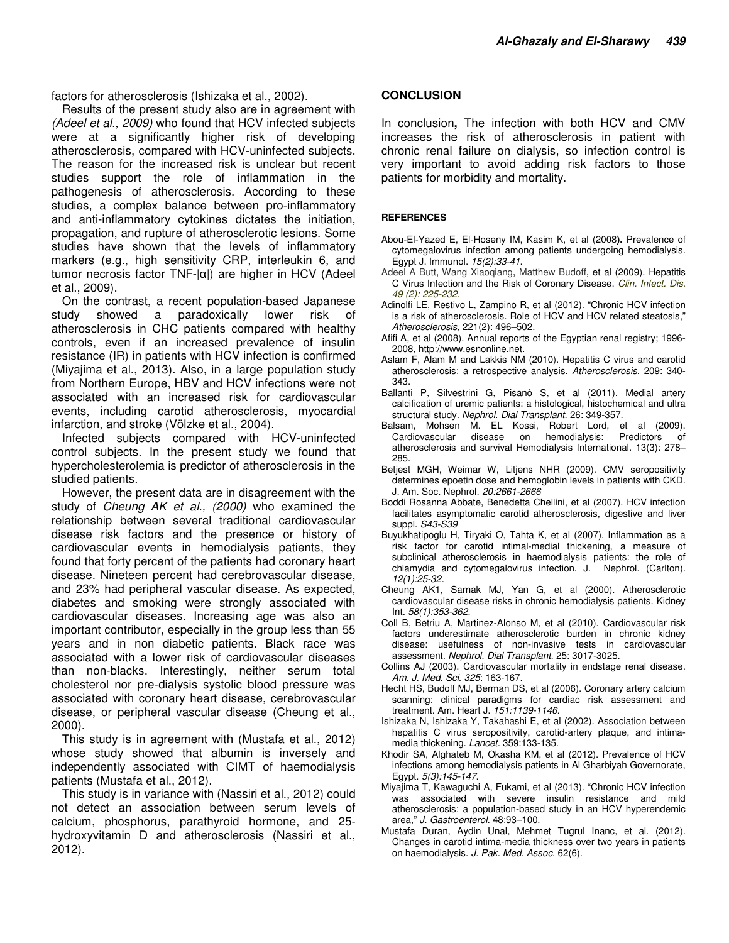factors for atherosclerosis (Ishizaka et al., 2002).

Results of the present study also are in agreement with *(Adeel et al., 2009)* who found that HCV infected subjects were at a significantly higher risk of developing atherosclerosis, compared with HCV-uninfected subjects. The reason for the increased risk is unclear but recent studies support the role of inflammation in the pathogenesis of atherosclerosis. According to these studies, a complex balance between pro-inflammatory and anti-inflammatory cytokines dictates the initiation, propagation, and rupture of atherosclerotic lesions. Some studies have shown that the levels of inflammatory markers (e.g., high sensitivity CRP, interleukin 6, and tumor necrosis factor TNF-|α|) are higher in HCV (Adeel et al., 2009).

On the contrast, a recent population-based Japanese study showed a paradoxically lower risk of atherosclerosis in CHC patients compared with healthy controls, even if an increased prevalence of insulin resistance (IR) in patients with HCV infection is confirmed (Miyajima et al., 2013). Also, in a large population study from Northern Europe, HBV and HCV infections were not associated with an increased risk for cardiovascular events, including carotid atherosclerosis, myocardial infarction, and stroke (Völzke et al., 2004).

Infected subjects compared with HCV-uninfected control subjects. In the present study we found that hypercholesterolemia is predictor of atherosclerosis in the studied patients.

However, the present data are in disagreement with the study of *Cheung AK et al., (2000)* who examined the relationship between several traditional cardiovascular disease risk factors and the presence or history of cardiovascular events in hemodialysis patients, they found that forty percent of the patients had coronary heart disease. Nineteen percent had cerebrovascular disease, and 23% had peripheral vascular disease. As expected, diabetes and smoking were strongly associated with cardiovascular diseases. Increasing age was also an important contributor, especially in the group less than 55 years and in non diabetic patients. Black race was associated with a lower risk of cardiovascular diseases than non-blacks. Interestingly, neither serum total cholesterol nor pre-dialysis systolic blood pressure was associated with coronary heart disease, cerebrovascular disease, or peripheral vascular disease (Cheung et al., 2000).

This study is in agreement with (Mustafa et al., 2012) whose study showed that albumin is inversely and independently associated with CIMT of haemodialysis patients (Mustafa et al., 2012).

This study is in variance with (Nassiri et al., 2012) could not detect an association between serum levels of calcium, phosphorus, parathyroid hormone, and 25 hydroxyvitamin D and atherosclerosis (Nassiri et al., 2012).

#### **CONCLUSION**

In conclusion**,** The infection with both HCV and CMV increases the risk of atherosclerosis in patient with chronic renal failure on dialysis, so infection control is very important to avoid adding risk factors to those patients for morbidity and mortality.

#### **REFERENCES**

- Abou-El-Yazed E, El-Hoseny IM, Kasim K, et al (2008**).** Prevalence of cytomegalovirus infection among patients undergoing hemodialysis. Egypt J. Immunol. *15(2):33-41*.
- Adeel A Butt, Wang Xiaoqiang, Matthew Budoff, et al (2009). Hepatitis C Virus Infection and the Risk of Coronary Disease. *Clin. Infect. Dis. 49 (2): 225-232.*
- Adinolfi LE, Restivo L, Zampino R, et al (2012). "Chronic HCV infection is a risk of atherosclerosis. Role of HCV and HCV related steatosis," *Atherosclerosis*, 221(2): 496–502.
- Afifi A, et al (2008). Annual reports of the Egyptian renal registry; 1996- 2008, http://www.esnonline.net*.*
- Aslam F, Alam M and Lakkis NM (2010). Hepatitis C virus and carotid atherosclerosis: a retrospective analysis. *Atherosclerosis*. 209: 340- 343.
- Ballanti P, Silvestrini G, Pisanò S, et al (2011). Medial artery calcification of uremic patients: a histological, histochemical and ultra structural study. *Nephrol. Dial Transplant*. 26: 349-357.
- Balsam, Mohsen M. EL Kossi, Robert Lord, et al (2009). Cardiovascular disease on hemodialysis: Predictors of atherosclerosis and survival Hemodialysis International. 13(3): 278– 285.
- Betjest MGH, Weimar W, Litjens NHR (2009). CMV seropositivity determines epoetin dose and hemoglobin levels in patients with CKD. J. Am. Soc. Nephrol. *20:2661-2666*
- Boddi Rosanna Abbate, Benedetta Chellini, et al (2007). HCV infection facilitates asymptomatic carotid atherosclerosis, digestive and liver suppl. *S43-S39*
- Buyukhatipoglu H, Tiryaki O, Tahta K, et al (2007). Inflammation as a risk factor for carotid intimal-medial thickening, a measure of subclinical atherosclerosis in haemodialysis patients: the role of chlamydia and cytomegalovirus infection. J. Nephrol. (Carlton). *12(1):25-32*.
- Cheung AK1, Sarnak MJ, Yan G, et al (2000). Atherosclerotic cardiovascular disease risks in chronic hemodialysis patients. Kidney Int. *58(1):353-362.*
- Coll B, Betriu A, Martinez-Alonso M, et al (2010). Cardiovascular risk factors underestimate atherosclerotic burden in chronic kidney disease: usefulness of non-invasive tests in cardiovascular assessment. *Nephrol. Dial Transplant*. 25: 3017-3025.
- Collins AJ (2003). Cardiovascular mortality in endstage renal disease. *Am. J. Med. Sci. 325*: 163-167.
- Hecht HS, Budoff MJ, Berman DS, et al (2006). Coronary artery calcium scanning: clinical paradigms for cardiac risk assessment and treatment. Am. Heart J. *151:1139-1146.*
- Ishizaka N, Ishizaka Y, Takahashi E, et al (2002). Association between hepatitis C virus seropositivity, carotid-artery plaque, and intimamedia thickening. *Lancet.* 359:133-135.
- Khodir SA, Alghateb M, Okasha KM, et al (2012). Prevalence of HCV infections among hemodialysis patients in Al Gharbiyah Governorate, Egypt. *5(3):145-147*.
- Miyajima T, Kawaguchi A, Fukami, et al (2013). "Chronic HCV infection was associated with severe insulin resistance and mild atherosclerosis: a population-based study in an HCV hyperendemic area," *J. Gastroenterol.* 48:93–100.
- Mustafa Duran, Aydin Unal, Mehmet Tugrul Inanc, et al. (2012). Changes in carotid intima-media thickness over two years in patients on haemodialysis. *J. Pak. Med. Assoc*. 62(6).